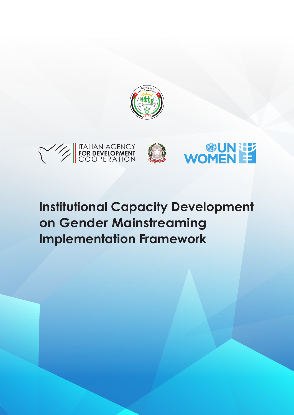



# **Institutional Capacity Development on Gender Mainstreaming Implementation Framework**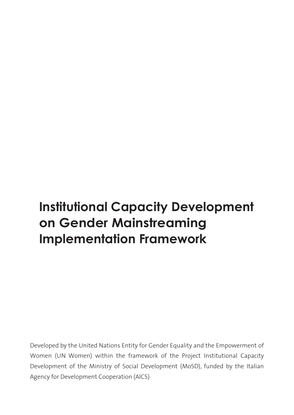# **Institutional Capacity Development on Gender Mainstreaming Implementation Framework**

Developed by the United Nations Entity for Gender Equality and the Empowerment of Women (UN Women) within the framework of the Project Institutional Capacity Development of the Ministry of Social Development (MoSD), funded by the Italian Agency for Development Cooperation (AICS)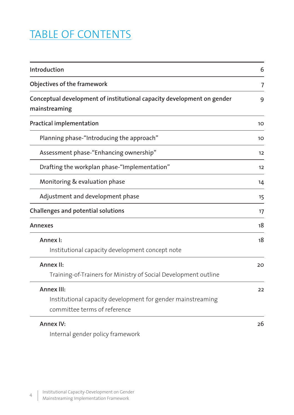## TABLE OF CONTENTS

| Introduction                                                                                              |                |
|-----------------------------------------------------------------------------------------------------------|----------------|
| Objectives of the framework                                                                               | $\overline{7}$ |
| Conceptual development of institutional capacity development on gender<br>mainstreaming                   | 9              |
| <b>Practical implementation</b>                                                                           | 10             |
| Planning phase-"Introducing the approach"                                                                 | 10             |
| Assessment phase-"Enhancing ownership"                                                                    | 12             |
| Drafting the workplan phase-"Implementation"                                                              | 12             |
| Monitoring & evaluation phase                                                                             | 14             |
| Adjustment and development phase                                                                          | 15             |
| Challenges and potential solutions                                                                        | 17             |
| Annexes                                                                                                   | 18             |
| Annex I:<br>Institutional capacity development concept note                                               | 18             |
| Annex II:<br>Training-of-Trainers for Ministry of Social Development outline                              | 20             |
| Annex III:<br>Institutional capacity development for gender mainstreaming<br>committee terms of reference | 22             |
| Annex IV:<br>Internal gender policy framework                                                             | 26             |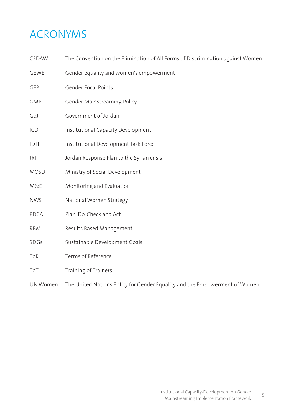## ACRONYMS

- CEDAW The Convention on the Elimination of All Forms of Discrimination against Women
- GEWE Gender equality and women's empowerment
- GFP Gender Focal Points
- GMP Gender Mainstreaming Policy
- GoJ Government of Jordan
- ICD Institutional Capacity Development
- IDTF Institutional Development Task Force
- JRP Jordan Response Plan to the Syrian crisis
- MOSD Ministry of Social Development
- M&E Monitoring and Evaluation
- NWS National Women Strategy
- PDCA Plan, Do, Check and Act
- RBM Results Based Management
- SDGs Sustainable Development Goals
- ToR Terms of Reference
- To Training of Trainers

UN Women The United Nations Entity for Gender Equality and the Empowerment of Women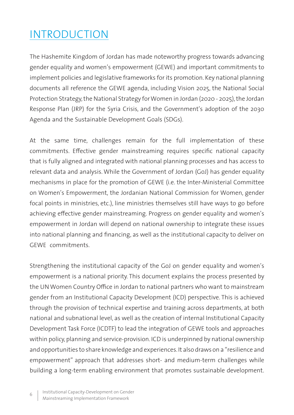## INTRODUCTION

The Hashemite Kingdom of Jordan has made noteworthy progress towards advancing gender equality and women's empowerment (GEWE) and important commitments to implement policies and legislative frameworks for its promotion. Key national planning documents all reference the GEWE agenda, including Vision 2025, the National Social Protection Strategy, the National Strategy for Women in Jordan (2020 - 2025), the Jordan Response Plan (JRP) for the Syria Crisis, and the Government's adoption of the 2030 Agenda and the Sustainable Development Goals (SDGs).

At the same time, challenges remain for the full implementation of these commitments. Effective gender mainstreaming requires specific national capacity that is fully aligned and integrated with national planning processes and has access to relevant data and analysis. While the Government of Jordan (GoJ) has gender equality mechanisms in place for the promotion of GEWE (i.e. the Inter-Ministerial Committee on Women's Empowerment, the Jordanian National Commission for Women, gender focal points in ministries, etc.), line ministries themselves still have ways to go before achieving effective gender mainstreaming. Progress on gender equality and women's empowerment in Jordan will depend on national ownership to integrate these issues into national planning and financing, as well as the institutional capacity to deliver on GEWE commitments.

Strengthening the institutional capacity of the GoJ on gender equality and women's empowerment is a national priority. This document explains the process presented by the UN Women Country Office in Jordan to national partners who want to mainstream gender from an Institutional Capacity Development (ICD) perspective. This is achieved through the provision of technical expertise and training across departments, at both national and subnational level, as well as the creation of internal Institutional Capacity Development Task Force (ICDTF) to lead the integration of GEWE tools and approaches within policy, planning and service-provision. ICD is underpinned by national ownership and opportunities to share knowledge and experiences. It also draws on a "resilience and empowerment" approach that addresses short- and medium-term challenges while building a long-term enabling environment that promotes sustainable development.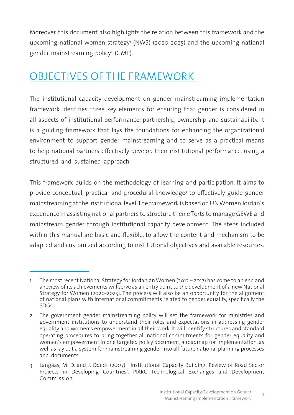Moreover, this document also highlights the relation between this framework and the upcoming national women strategy' (NWS) (2020-2025) and the upcoming national gender mainstreaming policy<sup>2</sup> (GMP).

## OBJECTIVES OF THE FRAMEWORK

The institutional capacity development on gender mainstreaming implementation framework identifies three key elements for ensuring that gender is considered in all aspects of institutional performance: partnership, ownership and sustainability. It is a guiding framework that lays the foundations for enhancing the organizational environment to support gender mainstreaming and to serve as a practical means to help national partners effectively develop their institutional performance, using a structured and sustained approach.

This framework builds on the methodology of learning and participation. It aims to provide conceptual, practical and procedural knowledge3 to effectively guide gender mainstreaming at the institutional level. The framework is based on UN Women Jordan's experience in assisting national partners to structure their efforts to manage GEWE and mainstream gender through institutional capacity development. The steps included within this manual are basic and flexible, to allow the content and mechanism to be adapted and customized according to institutional objectives and available resources.

<sup>1</sup> The most recent National Strategy for Jordanian Women (2013 – 2017) has come to an end and a review of its achievements will serve as an entry point to the development of a new National Strategy for Women (2020-2025). The process will also be an opportunity for the alignment of national plans with international commitments related to gender equality, specifically the SDGs.

<sup>2</sup> The government gender mainstreaming policy will set the framework for ministries and government institutions to understand their roles and expectations in addressing gender equality and women's empowerment in all their work. It will identify structures and standard operating procedures to bring together all national commitments for gender equality and women's empowerment in one targeted policy document, a roadmap for implementation, as well as lay out a system for mainstreaming gender into all future national planning processes and documents.

<sup>3</sup> Langaas, M. D. and J. Odeck (2007). "Institutional Capacity Building: Review of Road Sector Projects in Developing Countries". PIARC Technological Exchanges and Development Commission.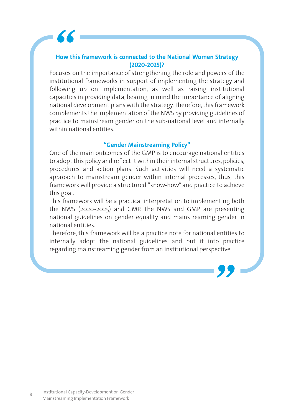#### **How this framework is connected to the National Women Strategy (2020-2025)?**

Focuses on the importance of strengthening the role and powers of the institutional frameworks in support of implementing the strategy and following up on implementation, as well as raising institutional capacities in providing data, bearing in mind the importance of aligning national development plans with the strategy. Therefore, this framework complements the implementation of the NWS by providing guidelines of practice to mainstream gender on the sub-national level and internally within national entities.

#### **"Gender Mainstreaming Policy"**

One of the main outcomes of the GMP is to encourage national entities to adopt this policy and reflect it within their internal structures, policies, procedures and action plans. Such activities will need a systematic approach to mainstream gender within internal processes, thus, this framework will provide a structured "know-how" and practice to achieve this goal.

This framework will be a practical interpretation to implementing both the NWS (2020-2025) and GMP. The NWS and GMP are presenting national guidelines on gender equality and mainstreaming gender in national entities.

Therefore, this framework will be a practice note for national entities to internally adopt the national guidelines and put it into practice regarding mainstreaming gender from an institutional perspective.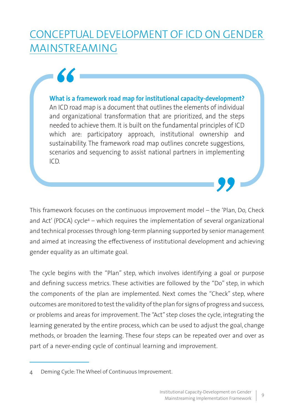## CONCEPTUAL DEVELOPMENT OF ICD ON GENDER MAINSTREAMING

**What is a framework road map for institutional capacity-development?** An ICD road map is a document that outlines the elements of individual and organizational transformation that are prioritized, and the steps needed to achieve them. It is built on the fundamental principles of ICD which are: participatory approach, institutional ownership and sustainability. The framework road map outlines concrete suggestions, scenarios and sequencing to assist national partners in implementing ICD.

This framework focuses on the continuous improvement model – the 'Plan, Do, Check and Act' (PDCA) cycle4 – which requires the implementation of several organizational and technical processes through long-term planning supported by senior management and aimed at increasing the effectiveness of institutional development and achieving gender equality as an ultimate goal.

The cycle begins with the "Plan" step, which involves identifying a goal or purpose and defining success metrics. These activities are followed by the "Do" step, in which the components of the plan are implemented. Next comes the "Check" step, where outcomes are monitored to test the validity of the plan for signs of progress and success, or problems and areas for improvement. The "Act" step closes the cycle, integrating the learning generated by the entire process, which can be used to adjust the goal, change methods, or broaden the learning. These four steps can be repeated over and over as part of a never-ending cycle of continual learning and improvement.

<sup>4</sup> Deming Cycle: The Wheel of Continuous Improvement.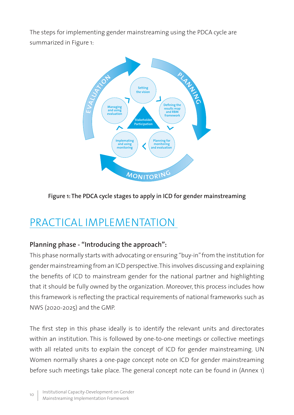The steps for implementing gender mainstreaming using the PDCA cycle are summarized in Figure 1:



## **Figure 1: The PDCA cycle stages to apply in ICD for gender mainstreaming**

## PRACTICAL IMPLEMENTATION

## **Planning phase - "Introducing the approach":**

This phase normally starts with advocating or ensuring "buy-in" from the institution for gender mainstreaming from an ICD perspective. This involves discussing and explaining the benefits of ICD to mainstream gender for the national partner and highlighting that it should be fully owned by the organization. Moreover, this process includes how this framework is reflecting the practical requirements of national frameworks such as NWS (2020-2025) and the GMP.

The first step in this phase ideally is to identify the relevant units and directorates within an institution. This is followed by one-to-one meetings or collective meetings with all related units to explain the concept of ICD for gender mainstreaming. UN Women normally shares a one-page concept note on ICD for gender mainstreaming before such meetings take place. The general concept note can be found in (Annex 1)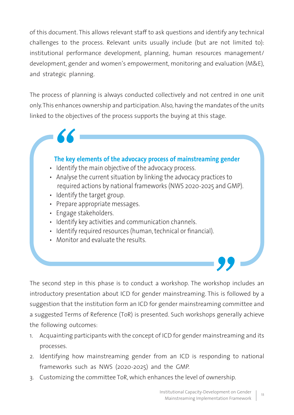of this document. This allows relevant staff to ask questions and identify any technical challenges to the process. Relevant units usually include (but are not limited to): institutional performance development, planning, human resources management/ development, gender and women's empowerment, monitoring and evaluation (M&E), and strategic planning.

The process of planning is always conducted collectively and not centred in one unit only. This enhances ownership and participation. Also, having the mandates of the units linked to the objectives of the process supports the buying at this stage.

## **The key elements of the advocacy process of mainstreaming gender**

- Identify the main objective of the advocacy process.
- Analyse the current situation by linking the advocacy practices to required actions by national frameworks (NWS 2020-2025 and GMP).
- Identify the target group.
- Prepare appropriate messages.
- Engage stakeholders.
- Identify key activities and communication channels.
- Identify required resources (human, technical or financial).
- Monitor and evaluate the results.

The second step in this phase is to conduct a workshop. The workshop includes an introductory presentation about ICD for gender mainstreaming. This is followed by a suggestion that the institution form an ICD for gender mainstreaming committee and a suggested Terms of Reference (ToR) is presented. Such workshops generally achieve the following outcomes:

- 1. Acquainting participants with the concept of ICD for gender mainstreaming and its processes.
- 2. Identifying how mainstreaming gender from an ICD is responding to national frameworks such as NWS (2020-2025) and the GMP.
- 3. Customizing the committee ToR, which enhances the level of ownership.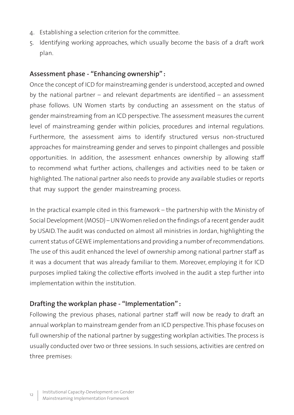- 4. Establishing a selection criterion for the committee.
- 5. Identifying working approaches, which usually become the basis of a draft work plan.

#### **Assessment phase - "Enhancing ownership" :**

Once the concept of ICD for mainstreaming gender is understood, accepted and owned by the national partner – and relevant departments are identified – an assessment phase follows. UN Women starts by conducting an assessment on the status of gender mainstreaming from an ICD perspective. The assessment measures the current level of mainstreaming gender within policies, procedures and internal regulations. Furthermore, the assessment aims to identify structured versus non-structured approaches for mainstreaming gender and serves to pinpoint challenges and possible opportunities. In addition, the assessment enhances ownership by allowing staff to recommend what further actions, challenges and activities need to be taken or highlighted. The national partner also needs to provide any available studies or reports that may support the gender mainstreaming process.

In the practical example cited in this framework – the partnership with the Ministry of Social Development (MOSD) – UN Women relied on the findings of a recent gender audit by USAID. The audit was conducted on almost all ministries in Jordan, highlighting the current status of GEWE implementations and providing a number of recommendations. The use of this audit enhanced the level of ownership among national partner staff as it was a document that was already familiar to them. Moreover, employing it for ICD purposes implied taking the collective efforts involved in the audit a step further into implementation within the institution.

### **Drafting the workplan phase - "Implementation" :**

Following the previous phases, national partner staff will now be ready to draft an annual workplan to mainstream gender from an ICD perspective. This phase focuses on full ownership of the national partner by suggesting workplan activities. The process is usually conducted over two or three sessions. In such sessions, activities are centred on three premises: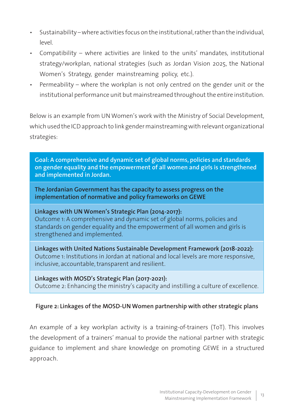- Sustainability where activities focus on the institutional, rather than the individual, level.
- Compatibility where activities are linked to the units' mandates, institutional strategy/workplan, national strategies (such as Jordan Vision 2025, the National Women's Strategy, gender mainstreaming policy, etc.).
- Permeability where the workplan is not only centred on the gender unit or the institutional performance unit but mainstreamed throughout the entire institution.

Below is an example from UN Women's work with the Ministry of Social Development, which used the ICD approach to link gender mainstreaming with relevant organizational strategies:

**Goal: A comprehensive and dynamic set of global norms, policies and standards on gender equality and the empowerment of all women and girls is strengthened and implemented in Jordan.** 

**The Jordanian Government has the capacity to assess progress on the implementation of normative and policy frameworks on GEWE**

**Linkages with UN Women's Strategic Plan (2014-2017):** Outcome 1: A comprehensive and dynamic set of global norms, policies and standards on gender equality and the empowerment of all women and girls is strengthened and implemented.

**Linkages with United Nations Sustainable Development Framework (2018-2022):**  Outcome 1: Institutions in Jordan at national and local levels are more responsive, inclusive, accountable, transparent and resilient.

**Linkages with MOSD's Strategic Plan (2017-2021):** Outcome 2: Enhancing the ministry's capacity and instilling a culture of excellence.

### **Figure 2: Linkages of the MOSD-UN Women partnership with other strategic plans**

An example of a key workplan activity is a training-of-trainers (ToT). This involves the development of a trainers' manual to provide the national partner with strategic guidance to implement and share knowledge on promoting GEWE in a structured approach.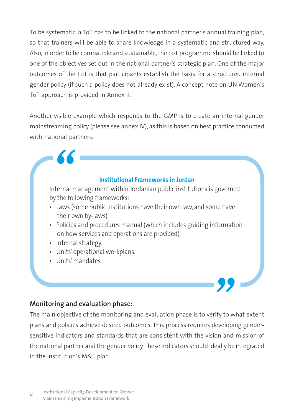To be systematic, a ToT has to be linked to the national partner's annual training plan, so that trainers will be able to share knowledge in a systematic and structured way. Also, in order to be compatible and sustainable, the ToT programme should be linked to one of the objectives set out in the national partner's strategic plan. One of the major outcomes of the ToT is that participants establish the basis for a structured internal gender policy (if such a policy does not already exist). A concept note on UN Women's ToT approach is provided in Annex II.

Another visible example which responds to the GMP is to create an internal gender mainstreaming policy (please see annex IV), as this is based on best practice conducted with national partners.

**Institutional Frameworks in Jordan** 

Internal management within Jordanian public institutions is governed by the following frameworks:

- Laws (some public institutions have their own law, and some have their own by-laws).
- Policies and procedures manual (which includes guiding information on how services and operations are provided).
- Internal strategy.
- Units' operational workplans.
- Units' mandates.

#### **Monitoring and evaluation phase:**

The main objective of the monitoring and evaluation phase is to verify to what extent plans and policies achieve desired outcomes. This process requires developing gendersensitive indicators and standards that are consistent with the vision and mission of the national partner and the gender policy. These indicators should ideally be integrated in the institution's M&E plan.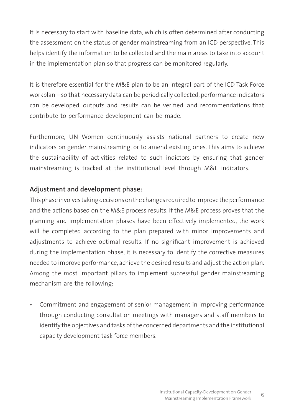It is necessary to start with baseline data, which is often determined after conducting the assessment on the status of gender mainstreaming from an ICD perspective. This helps identify the information to be collected and the main areas to take into account in the implementation plan so that progress can be monitored regularly.

It is therefore essential for the M&E plan to be an integral part of the ICD Task Force workplan – so that necessary data can be periodically collected, performance indicators can be developed, outputs and results can be verified, and recommendations that contribute to performance development can be made.

Furthermore, UN Women continuously assists national partners to create new indicators on gender mainstreaming, or to amend existing ones. This aims to achieve the sustainability of activities related to such indictors by ensuring that gender mainstreaming is tracked at the institutional level through M&E indicators.

## **Adjustment and development phase:**

This phase involves taking decisions on the changes required to improve the performance and the actions based on the M&E process results. If the M&E process proves that the planning and implementation phases have been effectively implemented, the work will be completed according to the plan prepared with minor improvements and adjustments to achieve optimal results. If no significant improvement is achieved during the implementation phase, it is necessary to identify the corrective measures needed to improve performance, achieve the desired results and adjust the action plan. Among the most important pillars to implement successful gender mainstreaming mechanism are the following:

• Commitment and engagement of senior management in improving performance through conducting consultation meetings with managers and staff members to identify the objectives and tasks of the concerned departments and the institutional capacity development task force members.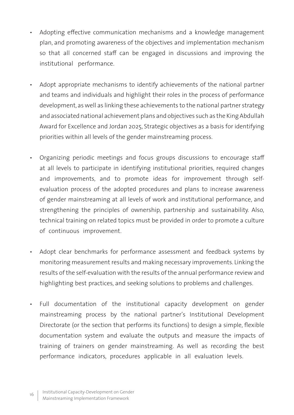- Adopting effective communication mechanisms and a knowledge management plan, and promoting awareness of the objectives and implementation mechanism so that all concerned staff can be engaged in discussions and improving the institutional performance.
- Adopt appropriate mechanisms to identify achievements of the national partner and teams and individuals and highlight their roles in the process of performance development, as well as linking these achievements to the national partner strategy and associated national achievement plans and objectives such as the King Abdullah Award for Excellence and Jordan 2025, Strategic objectives as a basis for identifying priorities within all levels of the gender mainstreaming process.
- Organizing periodic meetings and focus groups discussions to encourage staff at all levels to participate in identifying institutional priorities, required changes and improvements, and to promote ideas for improvement through selfevaluation process of the adopted procedures and plans to increase awareness of gender mainstreaming at all levels of work and institutional performance, and strengthening the principles of ownership, partnership and sustainability. Also, technical training on related topics must be provided in order to promote a culture of continuous improvement.
- Adopt clear benchmarks for performance assessment and feedback systems by monitoring measurement results and making necessary improvements. Linking the results of the self-evaluation with the results of the annual performance review and highlighting best practices, and seeking solutions to problems and challenges.
- Full documentation of the institutional capacity development on gender mainstreaming process by the national partner's Institutional Development Directorate (or the section that performs its functions) to design a simple, flexible documentation system and evaluate the outputs and measure the impacts of training of trainers on gender mainstreaming. As well as recording the best performance indicators, procedures applicable in all evaluation levels.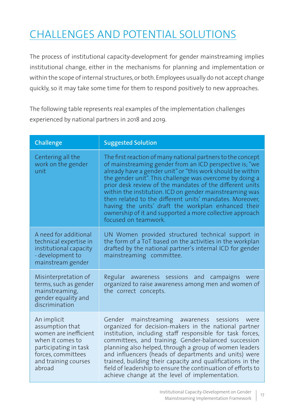## CHALLENGES AND POTENTIAL SOLUTIONS

The process of institutional capacity-development for gender mainstreaming implies institutional change, either in the mechanisms for planning and implementation or within the scope of internal structures, or both. Employees usually do not accept change quickly, so it may take some time for them to respond positively to new approaches.

The following table represents real examples of the implementation challenges experienced by national partners in 2018 and 2019.

| Challenge                                                                                                                                                    | <b>Suggested Solution</b>                                                                                                                                                                                                                                                                                                                                                                                                                                                                                                                                                      |
|--------------------------------------------------------------------------------------------------------------------------------------------------------------|--------------------------------------------------------------------------------------------------------------------------------------------------------------------------------------------------------------------------------------------------------------------------------------------------------------------------------------------------------------------------------------------------------------------------------------------------------------------------------------------------------------------------------------------------------------------------------|
| Centering all the<br>work on the gender<br>unit                                                                                                              | The first reaction of many national partners to the concept<br>of mainstreaming gender from an ICD perspective is; "we<br>already have a gender unit" or "this work should be within<br>the gender unit". This challenge was overcome by doing a<br>prior desk review of the mandates of the different units<br>within the institution. ICD on gender mainstreaming was<br>then related to the different units' mandates. Moreover,<br>having the units' draft the workplan enhanced their<br>ownership of it and supported a more collective approach<br>focused on teamwork. |
| A need for additional<br>technical expertise in<br>institutional capacity<br>- development to<br>mainstream gender                                           | UN Women provided structured technical support in<br>the form of a ToT based on the activities in the workplan<br>drafted by the national partner's internal ICD for gender<br>mainstreaming committee.                                                                                                                                                                                                                                                                                                                                                                        |
| Misinterpretation of<br>terms, such as gender<br>mainstreaming,<br>gender equality and<br>discrimination                                                     | Regular awareness sessions and campaigns were<br>organized to raise awareness among men and women of<br>the correct concepts.                                                                                                                                                                                                                                                                                                                                                                                                                                                  |
| An implicit<br>assumption that<br>women are inefficient<br>when it comes to<br>participating in task<br>forces, committees<br>and training courses<br>abroad | Gender mainstreaming awareness<br>sessions<br>were<br>organized for decision-makers in the national partner<br>institution, including staff responsible for task forces,<br>committees, and training. Gender-balanced succession<br>planning also helped, through a group of women leaders<br>and influencers (heads of departments and units) were<br>trained, building their capacity and qualifications in the<br>field of leadership to ensure the continuation of efforts to<br>achieve change at the level of implementation.                                            |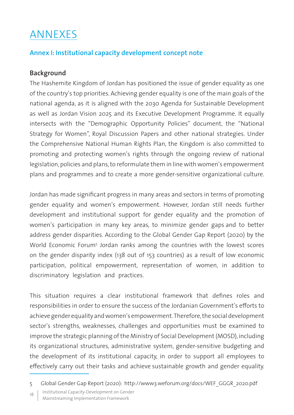## ANNEXES

## **Annex I: Institutional capacity development concept note**

## **Background**

The Hashemite Kingdom of Jordan has positioned the issue of gender equality as one of the country's top priorities. Achieving gender equality is one of the main goals of the national agenda, as it is aligned with the 2030 Agenda for Sustainable Development as well as Jordan Vision 2025 and its Executive Development Programme. It equally intersects with the "Demographic Opportunity Policies" document, the "National Strategy for Women", Royal Discussion Papers and other national strategies. Under the Comprehensive National Human Rights Plan, the Kingdom is also committed to promoting and protecting women's rights through the ongoing review of national legislation, policies and plans, to reformulate them in line with women's empowerment plans and programmes and to create a more gender-sensitive organizational culture.

Jordan has made significant progress in many areas and sectors in terms of promoting gender equality and women's empowerment. However, Jordan still needs further development and institutional support for gender equality and the promotion of women's participation in many key areas, to minimize gender gaps and to better address gender disparities. According to the Global Gender Gap Report (2020) by the World Economic Forum5 Jordan ranks among the countries with the lowest scores on the gender disparity index (138 out of 153 countries) as a result of low economic participation, political empowerment, representation of women, in addition to discriminatory legislation and practices.

This situation requires a clear institutional framework that defines roles and responsibilities in order to ensure the success of the Jordanian Government's efforts to achieve gender equality and women's empowerment. Therefore, the social development sector's strengths, weaknesses, challenges and opportunities must be examined to improve the strategic planning of the Ministry of Social Development (MOSD), including its organizational structures, administrative system, gender-sensitive budgeting and the development of its institutional capacity, in order to support all employees to effectively carry out their tasks and achieve sustainable growth and gender equality.

18 | Institutional Capacity-Development on Gender

Mainstreaming Implementation Framework

<sup>5</sup> Global Gender Gap Report (2020): http://www3.weforum.org/docs/WEF\_GGGR\_2020.pdf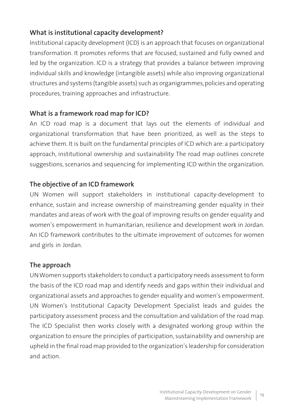## **What is institutional capacity development?**

Institutional capacity development (ICD) is an approach that focuses on organizational transformation. It promotes reforms that are focused, sustained and fully owned and led by the organization. ICD is a strategy that provides a balance between improving individual skills and knowledge (intangible assets) while also improving organizational structures and systems (tangible assets) such as organigrammes, policies and operating procedures, training approaches and infrastructure.

## **What is a framework road map for ICD?**

An ICD road map is a document that lays out the elements of individual and organizational transformation that have been prioritized, as well as the steps to achieve them. It is built on the fundamental principles of ICD which are: a participatory approach, institutional ownership and sustainability. The road map outlines concrete suggestions, scenarios and sequencing for implementing ICD within the organization.

## **The objective of an ICD framework**

UN Women will support stakeholders in institutional capacity-development to enhance, sustain and increase ownership of mainstreaming gender equality in their mandates and areas of work with the goal of improving results on gender equality and women's empowerment in humanitarian, resilience and development work in Jordan. An ICD framework contributes to the ultimate improvement of outcomes for women and girls in Jordan.

### **The approach**

UN Women supports stakeholders to conduct a participatory needs assessment to form the basis of the ICD road map and identify needs and gaps within their individual and organizational assets and approaches to gender equality and women's empowerment. UN Women's Institutional Capacity Development Specialist leads and guides the participatory assessment process and the consultation and validation of the road map. The ICD Specialist then works closely with a designated working group within the organization to ensure the principles of participation, sustainability and ownership are upheld in the final road map provided to the organization's leadership for consideration and action.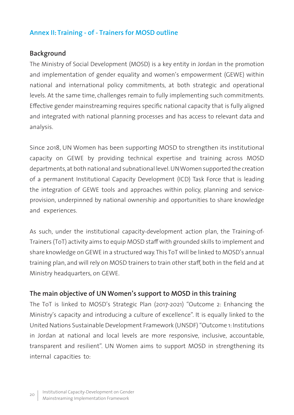## **Annex II: Training - of - Trainers for MOSD outline**

#### **Background**

The Ministry of Social Development (MOSD) is a key entity in Jordan in the promotion and implementation of gender equality and women's empowerment (GEWE) within national and international policy commitments, at both strategic and operational levels. At the same time, challenges remain to fully implementing such commitments. Effective gender mainstreaming requires specific national capacity that is fully aligned and integrated with national planning processes and has access to relevant data and analysis.

Since 2018, UN Women has been supporting MOSD to strengthen its institutional capacity on GEWE by providing technical expertise and training across MOSD departments, at both national and subnational level. UN Women supported the creation of a permanent Institutional Capacity Development (ICD) Task Force that is leading the integration of GEWE tools and approaches within policy, planning and serviceprovision, underpinned by national ownership and opportunities to share knowledge and experiences.

As such, under the institutional capacity-development action plan, the Training-of-Trainers (ToT) activity aims to equip MOSD staff with grounded skills to implement and share knowledge on GEWE in a structured way. This ToT will be linked to MOSD's annual training plan, and will rely on MOSD trainers to train other staff, both in the field and at Ministry headquarters, on GEWE.

#### **The main objective of UN Women's support to MOSD in this training**

The ToT is linked to MOSD's Strategic Plan (2017-2021) "Outcome 2: Enhancing the Ministry's capacity and introducing a culture of excellence". It is equally linked to the United Nations Sustainable Development Framework (UNSDF) "Outcome 1: Institutions in Jordan at national and local levels are more responsive, inclusive, accountable, transparent and resilient". UN Women aims to support MOSD in strengthening its internal capacities to: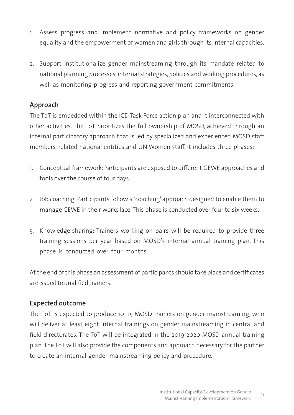- 1. Assess progress and implement normative and policy frameworks on gender equality and the empowerment of women and girls through its internal capacities.
- 2. Support institutionalize gender mainstreaming through its mandate related to national planning processes, internal strategies, policies and working procedures, as well as monitoring progress and reporting government commitments.

## **Approach**

The ToT is embedded within the ICD Task Force action plan and it interconnected with other activities. The ToT prioritizes the full ownership of MOSD, achieved through an internal participatory approach that is led by specialized and experienced MOSD staff members, related national entities and UN Women staff. It includes three phases:

- 1. Conceptual framework: Participants are exposed to different GEWE approaches and tools over the course of four days.
- 2. Job coaching: Participants follow a 'coaching' approach designed to enable them to manage GEWE in their workplace. This phase is conducted over four to six weeks.
- 3. Knowledge-sharing: Trainers working on pairs will be required to provide three training sessions per year based on MOSD's internal annual training plan. This phase is conducted over four months.

At the end of this phase an assessment of participants should take place and certificates are issued to qualified trainers.

## **Expected outcome**

The ToT is expected to produce 10–15 MOSD trainers on gender mainstreaming, who will deliver at least eight internal trainings on gender mainstreaming in central and field directorates. The ToT will be integrated in the 2019-2020 MOSD annual training plan. The ToT will also provide the components and approach necessary for the partner to create an internal gender mainstreaming policy and procedure.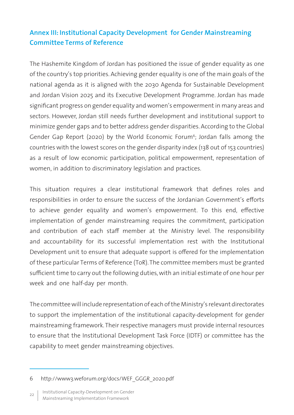## **Annex III: Institutional Capacity Development for Gender Mainstreaming Committee Terms of Reference**

The Hashemite Kingdom of Jordan has positioned the issue of gender equality as one of the country's top priorities. Achieving gender equality is one of the main goals of the national agenda as it is aligned with the 2030 Agenda for Sustainable Development and Jordan Vision 2025 and its Executive Development Programme. Jordan has made significant progress on gender equality and women's empowerment in many areas and sectors. However, Jordan still needs further development and institutional support to minimize gender gaps and to better address gender disparities. According to the Global Gender Gap Report (2020) by the World Economic Forum<sup>6</sup>; Jordan falls among the countries with the lowest scores on the gender disparity index (138 out of 153 countries) as a result of low economic participation, political empowerment, representation of women, in addition to discriminatory legislation and practices.

This situation requires a clear institutional framework that defines roles and responsibilities in order to ensure the success of the Jordanian Government's efforts to achieve gender equality and women's empowerment. To this end, effective implementation of gender mainstreaming requires the commitment, participation and contribution of each staff member at the Ministry level. The responsibility and accountability for its successful implementation rest with the Institutional Development unit to ensure that adequate support is offered for the implementation of these particular Terms of Reference (ToR). The committee members must be granted sufficient time to carry out the following duties, with an initial estimate of one hour per week and one half-day per month.

The committee will include representation of each of the Ministry's relevant directorates to support the implementation of the institutional capacity-development for gender mainstreaming framework. Their respective managers must provide internal resources to ensure that the Institutional Development Task Force (IDTF) or committee has the capability to meet gender mainstreaming objectives.

<sup>6</sup> http://www3.weforum.org/docs/WEF\_GGGR\_2020.pdf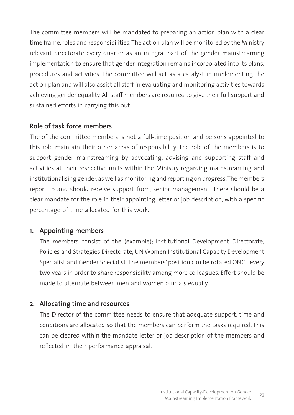The committee members will be mandated to preparing an action plan with a clear time frame, roles and responsibilities. The action plan will be monitored by the Ministry relevant directorate every quarter as an integral part of the gender mainstreaming implementation to ensure that gender integration remains incorporated into its plans, procedures and activities. The committee will act as a catalyst in implementing the action plan and will also assist all staff in evaluating and monitoring activities towards achieving gender equality. All staff members are required to give their full support and sustained efforts in carrying this out.

### **Role of task force members**

The of the committee members is not a full-time position and persons appointed to this role maintain their other areas of responsibility. The role of the members is to support gender mainstreaming by advocating, advising and supporting staff and activities at their respective units within the Ministry regarding mainstreaming and institutionalising gender, as well as monitoring and reporting on progress. The members report to and should receive support from, senior management. There should be a clear mandate for the role in their appointing letter or job description, with a specific percentage of time allocated for this work.

### **1. Appointing members**

The members consist of the (example); Institutional Development Directorate, Policies and Strategies Directorate, UN Women Institutional Capacity Development Specialist and Gender Specialist. The members' position can be rotated ONCE every two years in order to share responsibility among more colleagues. Effort should be made to alternate between men and women officials equally.

## **2. Allocating time and resources**

The Director of the committee needs to ensure that adequate support, time and conditions are allocated so that the members can perform the tasks required. This can be cleared within the mandate letter or job description of the members and reflected in their performance appraisal.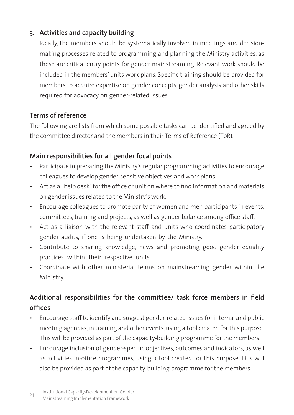## **3. Activities and capacity building**

Ideally, the members should be systematically involved in meetings and decisionmaking processes related to programming and planning the Ministry activities, as these are critical entry points for gender mainstreaming. Relevant work should be included in the members' units work plans. Specific training should be provided for members to acquire expertise on gender concepts, gender analysis and other skills required for advocacy on gender-related issues.

## **Terms of reference**

The following are lists from which some possible tasks can be identified and agreed by the committee director and the members in their Terms of Reference (ToR).

## **Main responsibilities for all gender focal points**

- Participate in preparing the Ministry's regular programming activities to encourage colleagues to develop gender-sensitive objectives and work plans.
- Act as a "help desk" for the office or unit on where to find information and materials on gender issues related to the Ministry's work.
- Encourage colleagues to promote parity of women and men participants in events, committees, training and projects, as well as gender balance among office staff.
- Act as a liaison with the relevant staff and units who coordinates participatory gender audits, if one is being undertaken by the Ministry.
- Contribute to sharing knowledge, news and promoting good gender equality practices within their respective units.
- Coordinate with other ministerial teams on mainstreaming gender within the Ministry.

## **Additional responsibilities for the committee/ task force members in field offices**

- Encourage staff to identify and suggest gender-related issues for internal and public meeting agendas, in training and other events, using a tool created for this purpose. This will be provided as part of the capacity-building programme for the members.
- Encourage inclusion of gender-specific objectives, outcomes and indicators, as well as activities in-office programmes, using a tool created for this purpose. This will also be provided as part of the capacity-building programme for the members.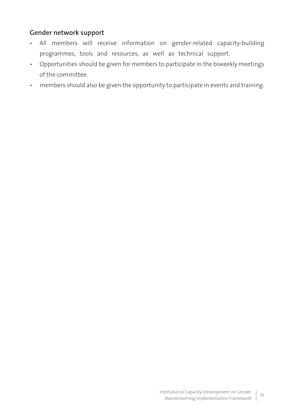## **Gender network support**

- All members will receive information on gender-related capacity-building programmes, tools and resources, as well as technical support.
- Opportunities should be given for members to participate in the biweekly meetings of the committee.
- members should also be given the opportunity to participate in events and training.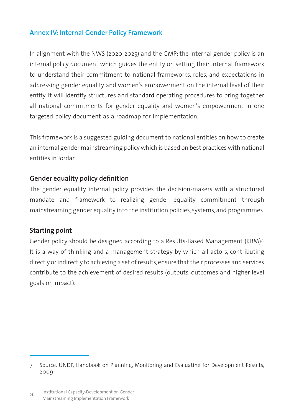## **Annex IV: Internal Gender Policy Framework**

In alignment with the NWS (2020-2025) and the GMP; the internal gender policy is an internal policy document which guides the entity on setting their internal framework to understand their commitment to national frameworks, roles, and expectations in addressing gender equality and women's empowerment on the internal level of their entity. It will identify structures and standard operating procedures to bring together all national commitments for gender equality and women's empowerment in one targeted policy document as a roadmap for implementation.

This framework is a suggested guiding document to national entities on how to create an internal gender mainstreaming policy which is based on best practices with national entities in Jordan.

#### **Gender equality policy definition**

The gender equality internal policy provides the decision-makers with a structured mandate and framework to realizing gender equality commitment through mainstreaming gender equality into the institution policies, systems, and programmes.

#### **Starting point**

Gender policy should be designed according to a Results-Based Management (RBM)7 : It is a way of thinking and a management strategy by which all actors, contributing directly or indirectly to achieving a set of results, ensure that their processes and services contribute to the achievement of desired results (outputs, outcomes and higher-level goals or impact).

<sup>7</sup> Source: UNDP, Handbook on Planning, Monitoring and Evaluating for Development Results, 2009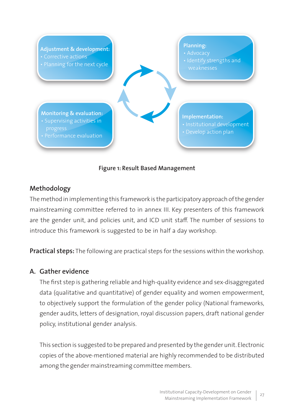

#### **Figure 1: Result Based Management**

#### **Methodology**

The method in implementing this framework is the participatory approach of the gender mainstreaming committee referred to in annex III. Key presenters of this framework are the gender unit, and policies unit, and ICD unit staff. The number of sessions to introduce this framework is suggested to be in half a day workshop.

**Practical steps:** The following are practical steps for the sessions within the workshop.

### **A. Gather evidence**

The first step is gathering reliable and high-quality evidence and sex-disaggregated data (qualitative and quantitative) of gender equality and women empowerment, to objectively support the formulation of the gender policy (National frameworks, gender audits, letters of designation, royal discussion papers, draft national gender policy, institutional gender analysis.

This section is suggested to be prepared and presented by the gender unit. Electronic copies of the above-mentioned material are highly recommended to be distributed among the gender mainstreaming committee members.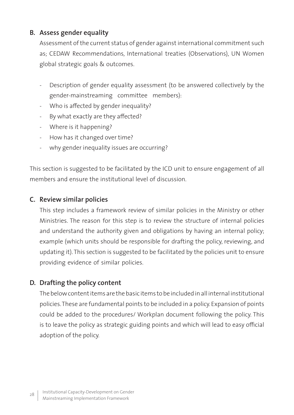## **B. Assess gender equality**

Assessment of the current status of gender against international commitment such as; CEDAW Recommendations, International treaties (Observations), UN Women global strategic goals & outcomes.

- Description of gender equality assessment (to be answered collectively by the gender-mainstreaming committee members):
- Who is affected by gender inequality?
- By what exactly are they affected?
- Where is it happening?
- How has it changed over time?
- why gender inequality issues are occurring?

This section is suggested to be facilitated by the ICD unit to ensure engagement of all members and ensure the institutional level of discussion.

### **C. Review similar policies**

This step includes a framework review of similar policies in the Ministry or other Ministries. The reason for this step is to review the structure of internal policies and understand the authority given and obligations by having an internal policy; example (which units should be responsible for drafting the policy, reviewing, and updating it). This section is suggested to be facilitated by the policies unit to ensure providing evidence of similar policies.

### **D. Drafting the policy content**

The below content items are the basic items to be included in all internal institutional policies. These are fundamental points to be included in a policy. Expansion of points could be added to the procedures/ Workplan document following the policy. This is to leave the policy as strategic guiding points and which will lead to easy official adoption of the policy.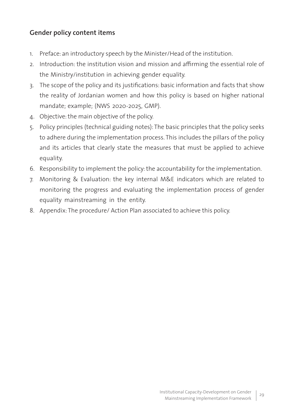## **Gender policy content items**

- 1. Preface: an introductory speech by the Minister/Head of the institution.
- 2. Introduction: the institution vision and mission and affirming the essential role of the Ministry/institution in achieving gender equality.
- 3. The scope of the policy and its justifications: basic information and facts that show the reality of Jordanian women and how this policy is based on higher national mandate; example; (NWS 2020-2025, GMP).
- 4. Objective: the main objective of the policy.
- 5. Policy principles (technical guiding notes): The basic principles that the policy seeks to adhere during the implementation process. This includes the pillars of the policy and its articles that clearly state the measures that must be applied to achieve equality.
- 6. Responsibility to implement the policy: the accountability for the implementation.
- 7. Monitoring & Evaluation: the key internal M&E indicators which are related to monitoring the progress and evaluating the implementation process of gender equality mainstreaming in the entity.
- 8. Appendix: The procedure/ Action Plan associated to achieve this policy.